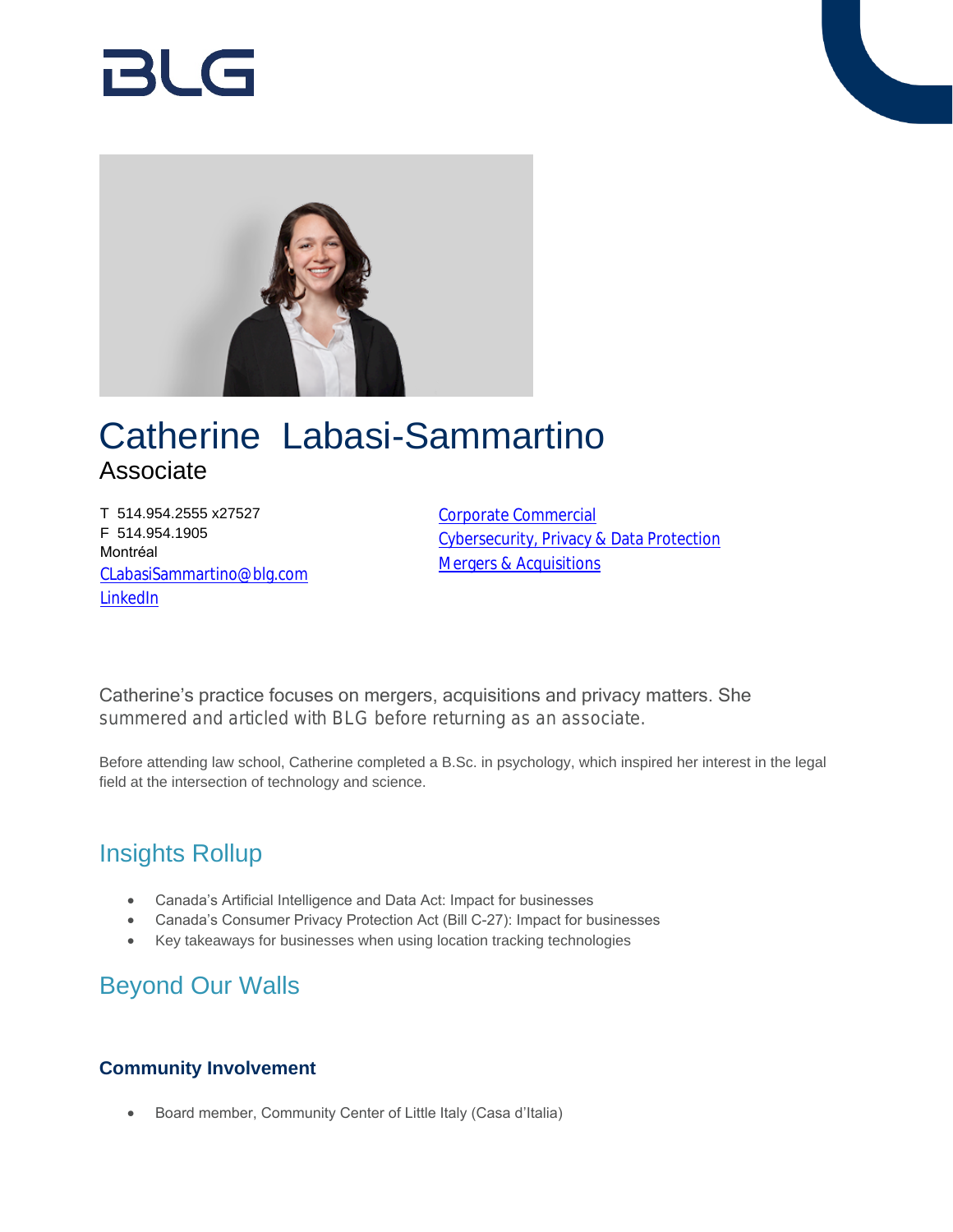# RI G



## Catherine Labasi-Sammartino Associate

T 514.954.2555 x27527 F 514.954.1905 Montréal [CLabasiSammartino@blg.com](mailto:CLabasiSammartino@blg.com) [LinkedIn](https://ca.linkedin.com/in/catherine-labasi-sammartino-270587101)

[Corporate Commercial](https://www.blg.com/en/services/practice-areas/corporate-commercial) [Cybersecurity, Privacy & Data Protection](https://www.blg.com/en/services/practice-areas/cybersecurity-privacy-data-protection) [Mergers & Acquisitions](https://www.blg.com/en/services/practice-areas/mergers-,-a-,-acquisitions)

Catherine's practice focuses on mergers, acquisitions and privacy matters. She summered and articled with BLG before returning as an associate.

Before attending law school, Catherine completed a B.Sc. in psychology, which inspired her interest in the legal field at the intersection of technology and science.

## Insights Rollup

- Canada's Artificial Intelligence and Data Act: Impact for businesses
- Canada's Consumer Privacy Protection Act (Bill C-27): Impact for businesses
- Key takeaways for businesses when using location tracking technologies

## Beyond Our Walls

### **Community Involvement**

Board member, Community Center of Little Italy (Casa d'Italia)